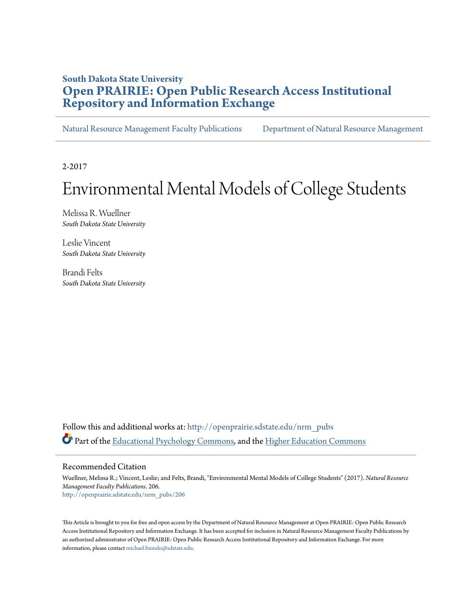## **South Dakota State University [Open PRAIRIE: Open Public Research Access Institutional](http://openprairie.sdstate.edu?utm_source=openprairie.sdstate.edu%2Fnrm_pubs%2F206&utm_medium=PDF&utm_campaign=PDFCoverPages) [Repository and Information Exchange](http://openprairie.sdstate.edu?utm_source=openprairie.sdstate.edu%2Fnrm_pubs%2F206&utm_medium=PDF&utm_campaign=PDFCoverPages)**

[Natural Resource Management Faculty Publications](http://openprairie.sdstate.edu/nrm_pubs?utm_source=openprairie.sdstate.edu%2Fnrm_pubs%2F206&utm_medium=PDF&utm_campaign=PDFCoverPages) [Department of Natural Resource Management](http://openprairie.sdstate.edu/nrm?utm_source=openprairie.sdstate.edu%2Fnrm_pubs%2F206&utm_medium=PDF&utm_campaign=PDFCoverPages)

2-2017

# Environmental Mental Models of College Students

Melissa R. Wuellner *South Dakota State University*

Leslie Vincent *South Dakota State University*

Brandi Felts *South Dakota State University*

Follow this and additional works at: [http://openprairie.sdstate.edu/nrm\\_pubs](http://openprairie.sdstate.edu/nrm_pubs?utm_source=openprairie.sdstate.edu%2Fnrm_pubs%2F206&utm_medium=PDF&utm_campaign=PDFCoverPages) Part of the [Educational Psychology Commons,](http://network.bepress.com/hgg/discipline/798?utm_source=openprairie.sdstate.edu%2Fnrm_pubs%2F206&utm_medium=PDF&utm_campaign=PDFCoverPages) and the [Higher Education Commons](http://network.bepress.com/hgg/discipline/1245?utm_source=openprairie.sdstate.edu%2Fnrm_pubs%2F206&utm_medium=PDF&utm_campaign=PDFCoverPages)

Recommended Citation

Wuellner, Melissa R.; Vincent, Leslie; and Felts, Brandi, "Environmental Mental Models of College Students" (2017). *Natural Resource Management Faculty Publications*. 206. [http://openprairie.sdstate.edu/nrm\\_pubs/206](http://openprairie.sdstate.edu/nrm_pubs/206?utm_source=openprairie.sdstate.edu%2Fnrm_pubs%2F206&utm_medium=PDF&utm_campaign=PDFCoverPages)

This Article is brought to you for free and open access by the Department of Natural Resource Management at Open PRAIRIE: Open Public Research Access Institutional Repository and Information Exchange. It has been accepted for inclusion in Natural Resource Management Faculty Publications by an authorized administrator of Open PRAIRIE: Open Public Research Access Institutional Repository and Information Exchange. For more information, please contact [michael.biondo@sdstate.edu](mailto:michael.biondo@sdstate.edu).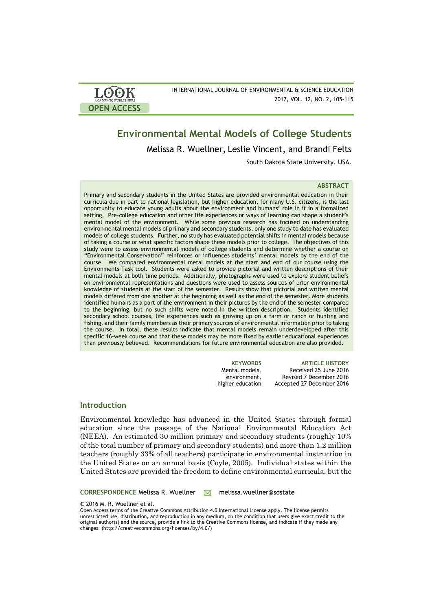

INTERNATIONAL JOURNAL OF ENVIRONMENTAL & SCIENCE EDUCATION 2017, VOL. 12, NO. 2, 105-115

## **Environmental Mental Models of College Students**

Melissa R. Wuellner, Leslie Vincent, and Brandi Felts

South Dakota State University, USA.

### **ABSTRACT**

Primary and secondary students in the United States are provided environmental education in their curricula due in part to national legislation, but higher education, for many U.S. citizens, is the last opportunity to educate young adults about the environment and humans' role in it in a formalized setting. Pre-college education and other life experiences or ways of learning can shape a student's mental model of the environment. While some previous research has focused on understanding environmental mental models of primary and secondary students, only one study to date has evaluated models of college students. Further, no study has evaluated potential shifts in mental models because of taking a course or what specific factors shape these models prior to college. The objectives of this study were to assess environmental models of college students and determine whether a course on "Environmental Conservation" reinforces or influences students' mental models by the end of the course. We compared environmental metal models at the start and end of our course using the Environments Task tool. Students were asked to provide pictorial and written descriptions of their mental models at both time periods. Additionally, photographs were used to explore student beliefs on environmental representations and questions were used to assess sources of prior environmental knowledge of students at the start of the semester. Results show that pictorial and written mental models differed from one another at the beginning as well as the end of the semester. More students identified humans as a part of the environment in their pictures by the end of the semester compared to the beginning, but no such shifts were noted in the written description. Students identified secondary school courses, life experiences such as growing up on a farm or ranch or hunting and fishing, and their family members as their primary sources of environmental information prior to taking the course. In total, these results indicate that mental models remain underdeveloped after this specific 16-week course and that these models may be more fixed by earlier educational experiences than previously believed. Recommendations for future environmental education are also provided.

> **KEYWORDS ARTICLE HISTORY** Mental models, environment, higher education Received 25 June 2016 Revised 7 December 2016 Accepted 27 December 2016

## **Introduction**

Environmental knowledge has advanced in the United States through formal education since the passage of the National Environmental Education Act (NEEA). An estimated 30 million primary and secondary students (roughly 10% of the total number of primary and secondary students) and more than 1.2 million teachers (roughly 33% of all teachers) participate in environmental instruction in the United States on an annual basis (Coyle, 2005). Individual states within the United States are provided the freedom to define environmental curricula, but the

CORRESPONDENCE Melissa R. Wuellner M melissa.wuellner@sdstate

© 2016 M. R. Wuellner et al.

Open Access terms of the Creative Commons Attribution 4.0 International License apply. The license permits unrestricted use, distribution, and reproduction in any medium, on the condition that users give exact credit to the original author(s) and the source, provide a link to the Creative Commons license, and indicate if they made any changes. (http://creativecommons.org/licenses/by/4.0/)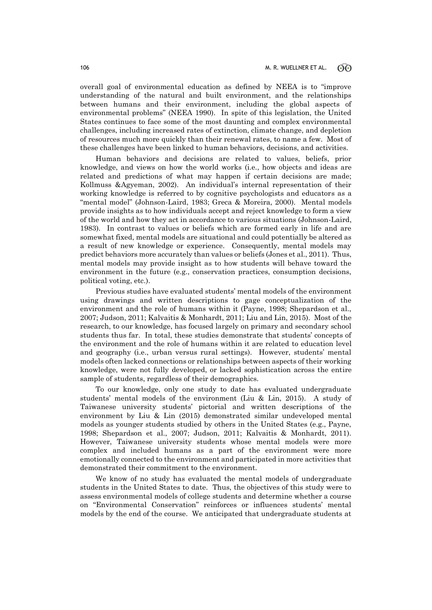overall goal of environmental education as defined by NEEA is to "improve understanding of the natural and built environment, and the relationships between humans and their environment, including the global aspects of environmental problems" (NEEA 1990). In spite of this legislation, the United States continues to face some of the most daunting and complex environmental challenges, including increased rates of extinction, climate change, and depletion of resources much more quickly than their renewal rates, to name a few. Most of these challenges have been linked to human behaviors, decisions, and activities.

Human behaviors and decisions are related to values, beliefs, prior knowledge, and views on how the world works (i.e., how objects and ideas are related and predictions of what may happen if certain decisions are made; Kollmuss &Agyeman, 2002). An individual's internal representation of their working knowledge is referred to by cognitive psychologists and educators as a "mental model" (Johnson-Laird, 1983; Greca & Moreira, 2000). Mental models provide insights as to how individuals accept and reject knowledge to form a view of the world and how they act in accordance to various situations (Johnson-Laird, 1983). In contrast to values or beliefs which are formed early in life and are somewhat fixed, mental models are situational and could potentially be altered as a result of new knowledge or experience. Consequently, mental models may predict behaviors more accurately than values or beliefs (Jones et al., 2011). Thus, mental models may provide insight as to how students will behave toward the environment in the future (e.g., conservation practices, consumption decisions, political voting, etc.).

Previous studies have evaluated students' mental models of the environment using drawings and written descriptions to gage conceptualization of the environment and the role of humans within it (Payne, 1998; Shepardson et al., 2007; Judson, 2011; Kalvaitis & Monhardt, 2011; Liu and Lin, 2015). Most of the research, to our knowledge, has focused largely on primary and secondary school students thus far. In total, these studies demonstrate that students' concepts of the environment and the role of humans within it are related to education level and geography (i.e., urban versus rural settings). However, students' mental models often lacked connections or relationships between aspects of their working knowledge, were not fully developed, or lacked sophistication across the entire sample of students, regardless of their demographics.

To our knowledge, only one study to date has evaluated undergraduate students' mental models of the environment (Liu & Lin, 2015). A study of Taiwanese university students' pictorial and written descriptions of the environment by Liu & Lin (2015) demonstrated similar undeveloped mental models as younger students studied by others in the United States (e.g., Payne, 1998; Shepardson et al., 2007; Judson, 2011; Kalvaitis & Monhardt, 2011). However, Taiwanese university students whose mental models were more complex and included humans as a part of the environment were more emotionally connected to the environment and participated in more activities that demonstrated their commitment to the environment.

We know of no study has evaluated the mental models of undergraduate students in the United States to date. Thus, the objectives of this study were to assess environmental models of college students and determine whether a course on "Environmental Conservation" reinforces or influences students' mental models by the end of the course. We anticipated that undergraduate students at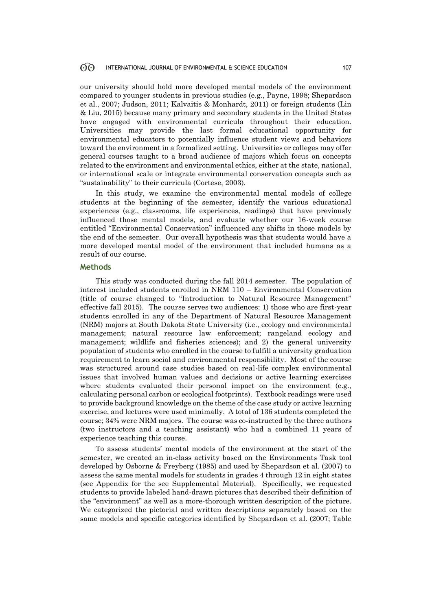#### $60^{\circ}$ INTERNATIONAL JOURNAL OF ENVIRONMENTAL & SCIENCE EDUCATION 107

our university should hold more developed mental models of the environment compared to younger students in previous studies (e.g., Payne, 1998; Shepardson et al., 2007; Judson, 2011; Kalvaitis & Monhardt, 2011) or foreign students (Lin & Liu, 2015) because many primary and secondary students in the United States have engaged with environmental curricula throughout their education. Universities may provide the last formal educational opportunity for environmental educators to potentially influence student views and behaviors toward the environment in a formalized setting. Universities or colleges may offer general courses taught to a broad audience of majors which focus on concepts related to the environment and environmental ethics, either at the state, national, or international scale or integrate environmental conservation concepts such as "sustainability" to their curricula (Cortese, 2003).

In this study, we examine the environmental mental models of college students at the beginning of the semester, identify the various educational experiences (e.g., classrooms, life experiences, readings) that have previously influenced those mental models, and evaluate whether our 16-week course entitled "Environmental Conservation" influenced any shifts in those models by the end of the semester. Our overall hypothesis was that students would have a more developed mental model of the environment that included humans as a result of our course.

## **Methods**

This study was conducted during the fall 2014 semester. The population of interest included students enrolled in NRM 110 – Environmental Conservation (title of course changed to "Introduction to Natural Resource Management" effective fall 2015). The course serves two audiences: 1) those who are first-year students enrolled in any of the Department of Natural Resource Management (NRM) majors at South Dakota State University (i.e., ecology and environmental management; natural resource law enforcement; rangeland ecology and management; wildlife and fisheries sciences); and 2) the general university population of students who enrolled in the course to fulfill a university graduation requirement to learn social and environmental responsibility. Most of the course was structured around case studies based on real-life complex environmental issues that involved human values and decisions or active learning exercises where students evaluated their personal impact on the environment (e.g., calculating personal carbon or ecological footprints). Textbook readings were used to provide background knowledge on the theme of the case study or active learning exercise, and lectures were used minimally. A total of 136 students completed the course; 34% were NRM majors. The course was co-instructed by the three authors (two instructors and a teaching assistant) who had a combined 11 years of experience teaching this course.

To assess students' mental models of the environment at the start of the semester, we created an in-class activity based on the Environments Task tool developed by Osborne & Freyberg (1985) and used by Shepardson et al. (2007) to assess the same mental models for students in grades 4 through 12 in eight states (see Appendix for the see Supplemental Material). Specifically, we requested students to provide labeled hand-drawn pictures that described their definition of the "environment" as well as a more-thorough written description of the picture. We categorized the pictorial and written descriptions separately based on the same models and specific categories identified by Shepardson et al. (2007; Table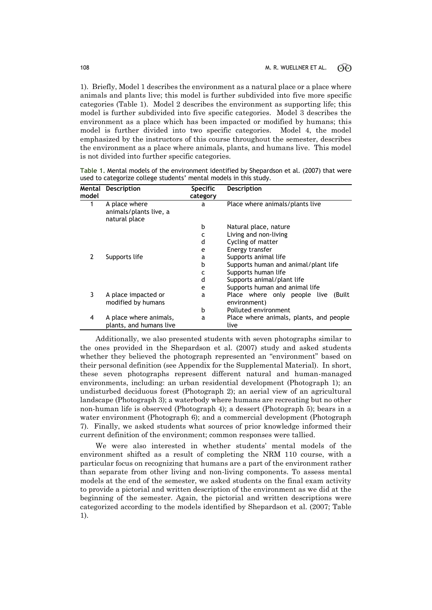1). Briefly, Model 1 describes the environment as a natural place or a place where animals and plants live; this model is further subdivided into five more specific categories (Table 1). Model 2 describes the environment as supporting life; this model is further subdivided into five specific categories. Model 3 describes the environment as a place which has been impacted or modified by humans; this model is further divided into two specific categories. Model 4, the model emphasized by the instructors of this course throughout the semester, describes the environment as a place where animals, plants, and humans live. This model is not divided into further specific categories.

| Mental<br>model | <b>Description</b>                                       | <b>Specific</b><br>category | <b>Description</b>                              |  |  |
|-----------------|----------------------------------------------------------|-----------------------------|-------------------------------------------------|--|--|
| 1               | A place where<br>animals/plants live, a<br>natural place | a                           | Place where animals/plants live                 |  |  |
|                 |                                                          | b                           | Natural place, nature                           |  |  |
|                 |                                                          | C                           | Living and non-living                           |  |  |
|                 |                                                          | d                           | Cycling of matter                               |  |  |
|                 |                                                          | e                           | Energy transfer                                 |  |  |
|                 | Supports life                                            | a                           | Supports animal life                            |  |  |
|                 |                                                          | b                           | Supports human and animal/plant life            |  |  |
|                 |                                                          | c                           | Supports human life                             |  |  |
|                 |                                                          | d                           | Supports animal/plant life                      |  |  |
|                 |                                                          | e                           | Supports human and animal life                  |  |  |
| 3               | A place impacted or                                      | a                           | Place where only people live<br>(Built)         |  |  |
|                 | modified by humans                                       |                             | environment)                                    |  |  |
|                 |                                                          | b                           | Polluted environment                            |  |  |
| 4               | A place where animals,<br>plants, and humans live        | a                           | Place where animals, plants, and people<br>live |  |  |

**Table 1.** Mental models of the environment identified by Shepardson et al. (2007) that were used to categorize college students' mental models in this study.

Additionally, we also presented students with seven photographs similar to the ones provided in the Shepardson et al. (2007) study and asked students whether they believed the photograph represented an "environment" based on their personal definition (see Appendix for the Supplemental Material). In short, these seven photographs represent different natural and human-managed environments, including: an urban residential development (Photograph 1); an undisturbed deciduous forest (Photograph 2); an aerial view of an agricultural landscape (Photograph 3); a waterbody where humans are recreating but no other non-human life is observed (Photograph 4); a dessert (Photograph 5); bears in a water environment (Photograph 6); and a commercial development (Photograph 7). Finally, we asked students what sources of prior knowledge informed their current definition of the environment; common responses were tallied.

We were also interested in whether students' mental models of the environment shifted as a result of completing the NRM 110 course, with a particular focus on recognizing that humans are a part of the environment rather than separate from other living and non-living components. To assess mental models at the end of the semester, we asked students on the final exam activity to provide a pictorial and written description of the environment as we did at the beginning of the semester. Again, the pictorial and written descriptions were categorized according to the models identified by Shepardson et al. (2007; Table 1).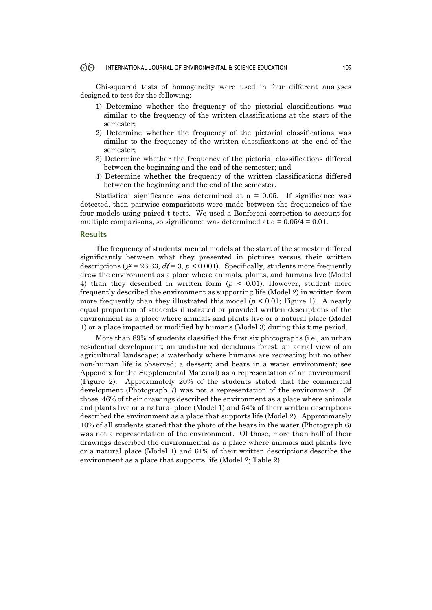#### $\odot$ INTERNATIONAL JOURNAL OF ENVIRONMENTAL & SCIENCE EDUCATION 109

Chi-squared tests of homogeneity were used in four different analyses designed to test for the following:

- 1) Determine whether the frequency of the pictorial classifications was similar to the frequency of the written classifications at the start of the semester;
- 2) Determine whether the frequency of the pictorial classifications was similar to the frequency of the written classifications at the end of the semester;
- 3) Determine whether the frequency of the pictorial classifications differed between the beginning and the end of the semester; and
- 4) Determine whether the frequency of the written classifications differed between the beginning and the end of the semester.

Statistical significance was determined at  $\alpha = 0.05$ . If significance was detected, then pairwise comparisons were made between the frequencies of the four models using paired t-tests. We used a Bonferoni correction to account for multiple comparisons, so significance was determined at  $\alpha = 0.05/4 = 0.01$ .

## **Results**

The frequency of students' mental models at the start of the semester differed significantly between what they presented in pictures versus their written descriptions ( $\chi^2 = 26.63$ ,  $df = 3$ ,  $p < 0.001$ ). Specifically, students more frequently drew the environment as a place where animals, plants, and humans live (Model 4) than they described in written form  $(p < 0.01)$ . However, student more frequently described the environment as supporting life (Model 2) in written form more frequently than they illustrated this model  $(p < 0.01$ ; Figure 1). A nearly equal proportion of students illustrated or provided written descriptions of the environment as a place where animals and plants live or a natural place (Model 1) or a place impacted or modified by humans (Model 3) during this time period.

More than 89% of students classified the first six photographs (i.e., an urban residential development; an undisturbed deciduous forest; an aerial view of an agricultural landscape; a waterbody where humans are recreating but no other non-human life is observed; a dessert; and bears in a water environment; see Appendix for the Supplemental Material) as a representation of an environment (Figure 2). Approximately 20% of the students stated that the commercial development (Photograph 7) was not a representation of the environment. Of those, 46% of their drawings described the environment as a place where animals and plants live or a natural place (Model 1) and 54% of their written descriptions described the environment as a place that supports life (Model 2). Approximately 10% of all students stated that the photo of the bears in the water (Photograph 6) was not a representation of the environment. Of those, more than half of their drawings described the environmental as a place where animals and plants live or a natural place (Model 1) and 61% of their written descriptions describe the environment as a place that supports life (Model 2; Table 2).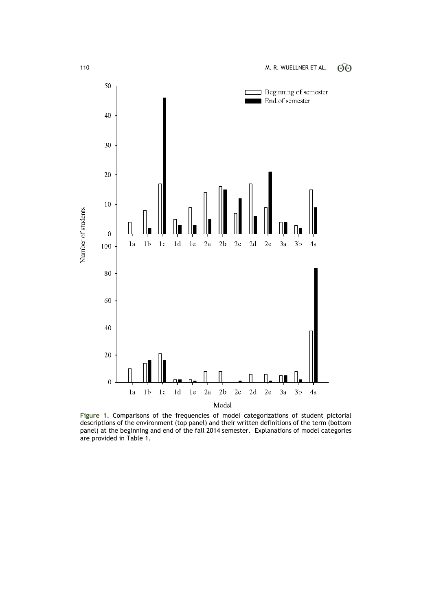

**Figure 1.** Comparisons of the frequencies of model categorizations of student pictorial descriptions of the environment (top panel) and their written definitions of the term (bottom panel) at the beginning and end of the fall 2014 semester. Explanations of model categories are provided in Table 1.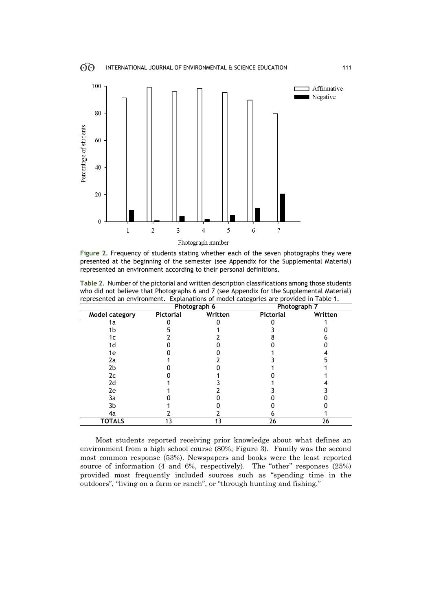

**Figure 2.** Frequency of students stating whether each of the seven photographs they were presented at the beginning of the semester (see Appendix for the Supplemental Material) represented an environment according to their personal definitions.

|                | Photograph 6 |         | ັ<br>Photograph 7 |         |
|----------------|--------------|---------|-------------------|---------|
| Model category | Pictorial    | Written | Pictorial         | Written |
| 1a             |              |         |                   |         |
| 1b             |              |         |                   |         |
| 1с             |              |         |                   |         |
| 1d             |              |         |                   |         |
| 1e             |              |         |                   |         |
| 2a             |              |         |                   |         |
| 2b             |              |         |                   |         |
| 2c             |              |         |                   |         |
| 2d             |              |         |                   |         |
| 2e             |              |         |                   |         |
| 3a             |              |         |                   |         |
| 3b             |              |         |                   |         |
| 4a             |              |         |                   |         |
| <b>TOTALS</b>  | 13           | 13      | 26                | 26      |

**Table 2.** Number of the pictorial and written description classifications among those students who did not believe that Photographs 6 and 7 (see Appendix for the Supplemental Material) represented an environment. Explanations of model categories are provided in Table 1.

Most students reported receiving prior knowledge about what defines an environment from a high school course (80%; Figure 3). Family was the second most common response (53%). Newspapers and books were the least reported source of information (4 and 6%, respectively). The "other" responses (25%) provided most frequently included sources such as "spending time in the outdoors", "living on a farm or ranch", or "through hunting and fishing."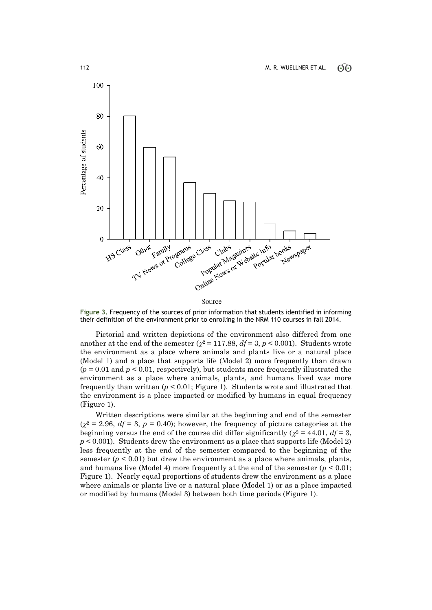

**Figure 3.** Frequency of the sources of prior information that students identified in informing their definition of the environment prior to enrolling in the NRM 110 courses in fall 2014.

Pictorial and written depictions of the environment also differed from one another at the end of the semester  $(\chi^2 = 117.88, df = 3, p < 0.001)$ . Students wrote the environment as a place where animals and plants live or a natural place (Model 1) and a place that supports life (Model 2) more frequently than drawn  $(p = 0.01$  and  $p \le 0.01$ , respectively), but students more frequently illustrated the environment as a place where animals, plants, and humans lived was more frequently than written  $(p < 0.01$ ; Figure 1). Students wrote and illustrated that the environment is a place impacted or modified by humans in equal frequency (Figure 1).

Written descriptions were similar at the beginning and end of the semester  $(\chi^2 = 2.96, df = 3, p = 0.40)$ ; however, the frequency of picture categories at the beginning versus the end of the course did differ significantly ( $\chi^2$  = 44.01, *df* = 3,  $p < 0.001$ ). Students drew the environment as a place that supports life (Model 2) less frequently at the end of the semester compared to the beginning of the semester  $(p < 0.01)$  but drew the environment as a place where animals, plants, and humans live (Model 4) more frequently at the end of the semester  $(p < 0.01;$ Figure 1). Nearly equal proportions of students drew the environment as a place where animals or plants live or a natural place (Model 1) or as a place impacted or modified by humans (Model 3) between both time periods (Figure 1).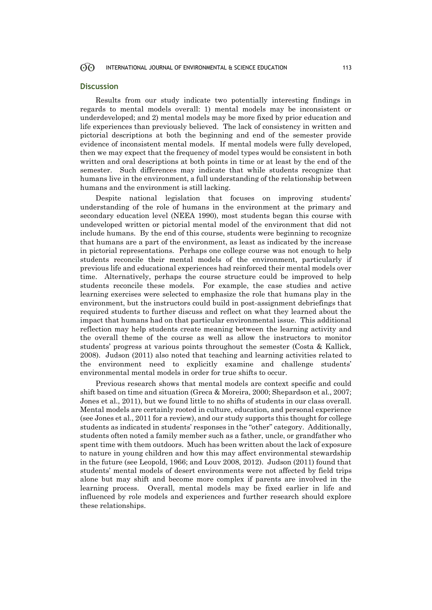#### $\odot$ INTERNATIONAL JOURNAL OF ENVIRONMENTAL & SCIENCE EDUCATION 113

## **Discussion**

Results from our study indicate two potentially interesting findings in regards to mental models overall: 1) mental models may be inconsistent or underdeveloped; and 2) mental models may be more fixed by prior education and life experiences than previously believed. The lack of consistency in written and pictorial descriptions at both the beginning and end of the semester provide evidence of inconsistent mental models. If mental models were fully developed, then we may expect that the frequency of model types would be consistent in both written and oral descriptions at both points in time or at least by the end of the semester. Such differences may indicate that while students recognize that humans live in the environment, a full understanding of the relationship between humans and the environment is still lacking.

Despite national legislation that focuses on improving students' understanding of the role of humans in the environment at the primary and secondary education level (NEEA 1990), most students began this course with undeveloped written or pictorial mental model of the environment that did not include humans. By the end of this course, students were beginning to recognize that humans are a part of the environment, as least as indicated by the increase in pictorial representations. Perhaps one college course was not enough to help students reconcile their mental models of the environment, particularly if previous life and educational experiences had reinforced their mental models over time. Alternatively, perhaps the course structure could be improved to help students reconcile these models. For example, the case studies and active learning exercises were selected to emphasize the role that humans play in the environment, but the instructors could build in post-assignment debriefings that required students to further discuss and reflect on what they learned about the impact that humans had on that particular environmental issue. This additional reflection may help students create meaning between the learning activity and the overall theme of the course as well as allow the instructors to monitor students' progress at various points throughout the semester (Costa & Kallick, 2008). Judson (2011) also noted that teaching and learning activities related to the environment need to explicitly examine and challenge students' environmental mental models in order for true shifts to occur.

Previous research shows that mental models are context specific and could shift based on time and situation (Greca & Moreira, 2000; Shepardson et al., 2007; Jones et al., 2011), but we found little to no shifts of students in our class overall. Mental models are certainly rooted in culture, education, and personal experience (see Jones et al., 2011 for a review), and our study supports this thought for college students as indicated in students' responses in the "other" category. Additionally, students often noted a family member such as a father, uncle, or grandfather who spent time with them outdoors. Much has been written about the lack of exposure to nature in young children and how this may affect environmental stewardship in the future (see Leopold, 1966; and Louv 2008, 2012). Judson (2011) found that students' mental models of desert environments were not affected by field trips alone but may shift and become more complex if parents are involved in the learning process. Overall, mental models may be fixed earlier in life and influenced by role models and experiences and further research should explore these relationships.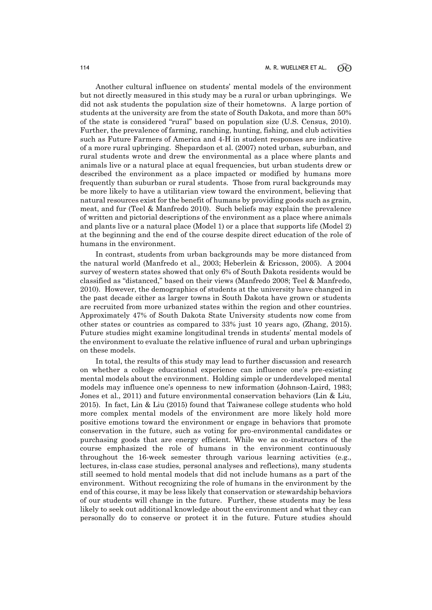Another cultural influence on students' mental models of the environment but not directly measured in this study may be a rural or urban upbringings. We did not ask students the population size of their hometowns. A large portion of students at the university are from the state of South Dakota, and more than 50% of the state is considered "rural" based on population size (U.S. Census, 2010). Further, the prevalence of farming, ranching, hunting, fishing, and club activities such as Future Farmers of America and 4-H in student responses are indicative of a more rural upbringing. Shepardson et al. (2007) noted urban, suburban, and rural students wrote and drew the environmental as a place where plants and animals live or a natural place at equal frequencies, but urban students drew or described the environment as a place impacted or modified by humans more frequently than suburban or rural students. Those from rural backgrounds may be more likely to have a utilitarian view toward the environment, believing that natural resources exist for the benefit of humans by providing goods such as grain, meat, and fur (Teel & Manfredo 2010). Such beliefs may explain the prevalence of written and pictorial descriptions of the environment as a place where animals and plants live or a natural place (Model 1) or a place that supports life (Model 2) at the beginning and the end of the course despite direct education of the role of humans in the environment.

In contrast, students from urban backgrounds may be more distanced from the natural world (Manfredo et al., 2003; Heberlein & Ericsson, 2005). A 2004 survey of western states showed that only 6% of South Dakota residents would be classified as "distanced," based on their views (Manfredo 2008; Teel & Manfredo, 2010). However, the demographics of students at the university have changed in the past decade either as larger towns in South Dakota have grown or students are recruited from more urbanized states within the region and other countries. Approximately 47% of South Dakota State University students now come from other states or countries as compared to 33% just 10 years ago, (Zhang, 2015). Future studies might examine longitudinal trends in students' mental models of the environment to evaluate the relative influence of rural and urban upbringings on these models.

In total, the results of this study may lead to further discussion and research on whether a college educational experience can influence one's pre-existing mental models about the environment. Holding simple or underdeveloped mental models may influence one's openness to new information (Johnson-Laird, 1983; Jones et al., 2011) and future environmental conservation behaviors (Lin & Liu, 2015). In fact, Lin & Liu (2015) found that Taiwanese college students who hold more complex mental models of the environment are more likely hold more positive emotions toward the environment or engage in behaviors that promote conservation in the future, such as voting for pro-environmental candidates or purchasing goods that are energy efficient. While we as co-instructors of the course emphasized the role of humans in the environment continuously throughout the 16-week semester through various learning activities (e.g., lectures, in-class case studies, personal analyses and reflections), many students still seemed to hold mental models that did not include humans as a part of the environment. Without recognizing the role of humans in the environment by the end of this course, it may be less likely that conservation or stewardship behaviors of our students will change in the future. Further, these students may be less likely to seek out additional knowledge about the environment and what they can personally do to conserve or protect it in the future. Future studies should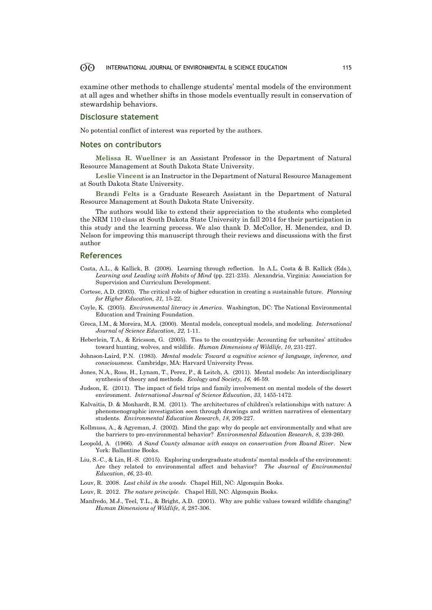#### 60 INTERNATIONAL JOURNAL OF ENVIRONMENTAL & SCIENCE EDUCATION 115

examine other methods to challenge students' mental models of the environment at all ages and whether shifts in those models eventually result in conservation of stewardship behaviors.

## **Disclosure statement**

No potential conflict of interest was reported by the authors.

## **Notes on contributors**

**Melissa R. Wuellner** is an Assistant Professor in the Department of Natural Resource Management at South Dakota State University.

**Leslie Vincent** is an Instructor in the Department of Natural Resource Management at South Dakota State University.

**Brandi Felts** is a Graduate Research Assistant in the Department of Natural Resource Management at South Dakota State University.

The authors would like to extend their appreciation to the students who completed the NRM 110 class at South Dakota State University in fall 2014 for their participation in this study and the learning process. We also thank D. McCollor, H. Menendez, and D. Nelson for improving this manuscript through their reviews and discussions with the first author

## **References**

- Costa, A.L., & Kallick, B. (2008). Learning through reflection. In A.L. Costa & B. Kallick (Eds.), *Learning and Leading with Habits of Mind* (pp. 221-235). Alexandria, Virginia: Association for Supervision and Curriculum Development.
- Cortese, A.D. (2003). The critical role of higher education in creating a sustainable future. *Planning for Higher Education, 31,* 15-22.
- Coyle, K. (2005). *Environmental literacy in America*. Washington, DC: The National Environmental Education and Training Foundation.
- Greca, I.M., & Moreira, M.A. (2000). Mental models, conceptual models, and modeling. *International Journal of Science Education*, *22*, 1-11.
- Heberlein, T.A., & Ericsson, G. (2005). Ties to the countryside: Accounting for urbanites' attitudes toward hunting, wolves, and wildlife. *Human Dimensions of Wildlife*, *10*, 231-227.
- Johnson-Laird, P.N. (1983). *Mental models: Toward a cognitive science of language, inference, and consciousness*. Cambridge, MA: Harvard University Press.
- Jones, N.A., Ross, H., Lynam, T., Perez, P., & Leitch, A. (2011). Mental models: An interdisciplinary synthesis of theory and methods. *Ecology and Society*, *16*, 46-59.
- Judson, E. (2011). The impact of field trips and family involvement on mental models of the desert environment. *International Journal of Science Education*, *33*, 1455-1472.
- Kalvaitis, D. & Monhardt, R.M. (2011). The architectures of children's relationships with nature: A phenomenographic investigation seen through drawings and written narratives of elementary students. *Environmental Education Research*, *18*, 209-227.
- Kollmuss, A., & Agyeman, J. (2002). Mind the gap: why do people act environmentally and what are the barriers to pro-environmental behavior? *Environmental Education Research*, *8*, 239-260.
- Leopold, A. (1966). *A Sand County almanac with essays on conservation from Round River*. New York: Ballantine Books.
- Liu, S.-C., & Lin, H.-S. (2015). Exploring undergraduate students' mental models of the environment: Are they related to environmental affect and behavior? *The Journal of Environmental Education*, *46*, 23-40.
- Louv, R. 2008. *Last child in the woods*. Chapel Hill, NC: Algonquin Books.
- Louv, R. 2012. *The nature principle*. Chapel Hill, NC: Algonquin Books.
- Manfredo, M.J., Teel, T.L., & Bright, A.D. (2001). Why are public values toward wildlife changing? *Human Dimensions of Wildlife*, *8*, 287-306.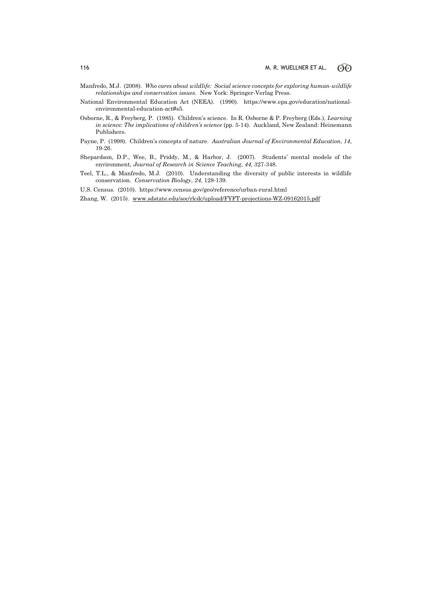- Manfredo, M.J. (2008). *Who cares about wildlife: Social science concepts for exploring human-wildlife relationships and conservation issues*. New York: Springer-Verlag Press.
- National Environmental Education Act (NEEA). (1990). https://www.epa.gov/education/nationalenvironmental-education-act#s5.
- Osborne, R., & Freyberg, P. (1985). Children's science. In R. Osborne & P. Freyberg (Eds.), *Learning in science: The implications of children's science* (pp. 5-14). Auckland, New Zealand: Heinemann Publishers.
- Payne, P. (1998). Children's concepts of nature. *Australian Journal of Environmental Education*, *14*, 19-26.
- Shepardson, D.P., Wee, B., Priddy, M., & Harbor, J. (2007). Students' mental models of the environment, *Journal of Research in Science Teaching*, *44*, 327-348.
- Teel, T.L., & Manfredo, M.J. (2010). Understanding the diversity of public interests in wildlife conservation. *Conservation Biology*, *24*, 128-139.
- U.S. Census. (2010). https://www.census.gov/geo/reference/urban-rural.html
- Zhang, W. (2015). [www.sdstate.edu/soc/rlcdc/upload/FYFT-projections-WZ-09162015.pdf](http://www.sdstate.edu/soc/rlcdc/upload/FYFT-projections-WZ-09162015.pdf)